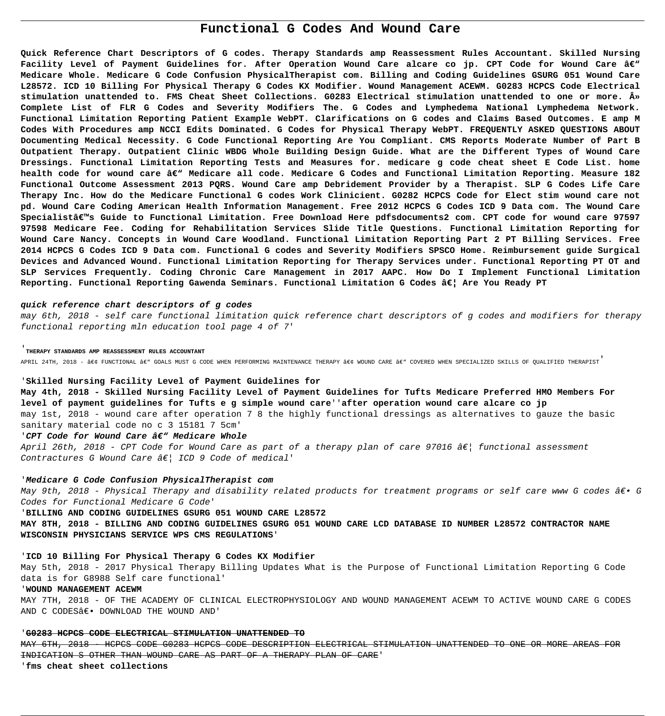# **Functional G Codes And Wound Care**

**Quick Reference Chart Descriptors of G codes. Therapy Standards amp Reassessment Rules Accountant. Skilled Nursing** Facility Level of Payment Guidelines for. After Operation Wound Care alcare co jp. CPT Code for Wound Care â€<sup>w</sup> **Medicare Whole. Medicare G Code Confusion PhysicalTherapist com. Billing and Coding Guidelines GSURG 051 Wound Care L28572. ICD 10 Billing For Physical Therapy G Codes KX Modifier. Wound Management ACEWM. G0283 HCPCS Code Electrical** stimulation unattended to. FMS Cheat Sheet Collections. G0283 Electrical stimulation unattended to one or more. » **Complete List of FLR G Codes and Severity Modifiers The. G Codes and Lymphedema National Lymphedema Network. Functional Limitation Reporting Patient Example WebPT. Clarifications on G codes and Claims Based Outcomes. E amp M Codes With Procedures amp NCCI Edits Dominated. G Codes for Physical Therapy WebPT. FREQUENTLY ASKED QUESTIONS ABOUT Documenting Medical Necessity. G Code Functional Reporting Are You Compliant. CMS Reports Moderate Number of Part B Outpatient Therapy. Outpatient Clinic WBDG Whole Building Design Guide. What are the Different Types of Wound Care Dressings. Functional Limitation Reporting Tests and Measures for. medicare g code cheat sheet E Code List. home** health code for wound care â€<sup>w</sup> Medicare all code. Medicare G Codes and Functional Limitation Reporting. Measure 182 **Functional Outcome Assessment 2013 PQRS. Wound Care amp Debridement Provider by a Therapist. SLP G Codes Life Care Therapy Inc. How do the Medicare Functional G codes Work Clinicient. G0282 HCPCS Code for Elect stim wound care not pd. Wound Care Coding American Health Information Management. Free 2012 HCPCS G Codes ICD 9 Data com. The Wound Care** Specialistâ€<sup>™</sup>s Guide to Functional Limitation. Free Download Here pdfsdocuments2 com. CPT code for wound care 97597 **97598 Medicare Fee. Coding for Rehabilitation Services Slide Title Questions. Functional Limitation Reporting for Wound Care Nancy. Concepts in Wound Care Woodland. Functional Limitation Reporting Part 2 PT Billing Services. Free 2014 HCPCS G Codes ICD 9 Data com. Functional G codes and Severity Modifiers SPSCO Home. Reimbursement guide Surgical Devices and Advanced Wound. Functional Limitation Reporting for Therapy Services under. Functional Reporting PT OT and SLP Services Frequently. Coding Chronic Care Management in 2017 AAPC. How Do I Implement Functional Limitation Reporting. Functional Reporting Gawenda Seminars. Functional Limitation G Codes … Are You Ready PT**

# **quick reference chart descriptors of g codes**

may 6th, 2018 - self care functional limitation quick reference chart descriptors of g codes and modifiers for therapy functional reporting mln education tool page 4 of 7'

#### '**THERAPY STANDARDS AMP REASSESSMENT RULES ACCOUNTANT**

APRIL 24TH, 2018 -  $a \in \mathcal{F}$  UNCTIONAL  $a \in \mathcal{F}$  GOALS MUST G CODE WHEN PERFORMING MAINTENANCE THERAPY  $a \in \mathcal{F}$  WOUND CARE  $a \in \mathcal{F}$  COVERED WHEN SPECIALIZED SKILLS OF QUALIFIED THERAPIST

## '**Skilled Nursing Facility Level of Payment Guidelines for**

**May 4th, 2018 - Skilled Nursing Facility Level of Payment Guidelines for Tufts Medicare Preferred HMO Members For level of payment guidelines for Tufts e g simple wound care**''**after operation wound care alcare co jp** may 1st, 2018 - wound care after operation 7 8 the highly functional dressings as alternatives to gauze the basic

sanitary material code no c 3 15181 7 5cm'

# 'CPT Code for Wound Care â€" Medicare Whole

April 26th, 2018 - CPT Code for Wound Care as part of a therapy plan of care 97016 â $\epsilon$ | functional assessment Contractures G Wound Care  $\hat{a}\epsilon$  ICD 9 Code of medical'

#### '**Medicare G Code Confusion PhysicalTherapist com**

May 9th, 2018 - Physical Therapy and disability related products for treatment programs or self care www G codes  $\hat{a}\in\bullet$  G Codes for Functional Medicare G Code'

'**BILLING AND CODING GUIDELINES GSURG 051 WOUND CARE L28572**

**MAY 8TH, 2018 - BILLING AND CODING GUIDELINES GSURG 051 WOUND CARE LCD DATABASE ID NUMBER L28572 CONTRACTOR NAME WISCONSIN PHYSICIANS SERVICE WPS CMS REGULATIONS**'

# '**ICD 10 Billing For Physical Therapy G Codes KX Modifier**

May 5th, 2018 - 2017 Physical Therapy Billing Updates What is the Purpose of Functional Limitation Reporting G Code data is for G8988 Self care functional'

#### '**WOUND MANAGEMENT ACEWM**

MAY 7TH, 2018 - OF THE ACADEMY OF CLINICAL ELECTROPHYSIOLOGY AND WOUND MANAGEMENT ACEWM TO ACTIVE WOUND CARE G CODES AND C CODES€. DOWNLOAD THE WOUND AND'

#### '**G0283 HCPCS CODE ELECTRICAL STIMULATION UNATTENDED TO**

MAY 6TH, 2018 - HCPCS CODE G0283 HCPCS CODE DESCRIPTION ELECTRICAL STIMULATION UNATTENDED TO ONE OR MORE AREAS FOR INDICATION S OTHER THAN WOUND CARE AS PART OF A THERAPY PLAN OF CARE' '**fms cheat sheet collections**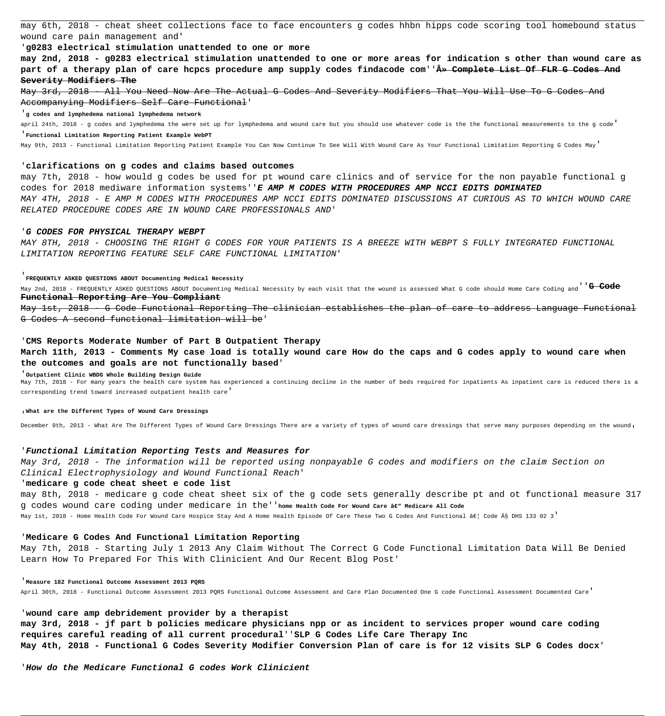may 6th, 2018 - cheat sheet collections face to face encounters g codes hhbn hipps code scoring tool homebound status wound care pain management and'

# '**g0283 electrical stimulation unattended to one or more**

**may 2nd, 2018 - g0283 electrical stimulation unattended to one or more areas for indication s other than wound care as** part of a therapy plan of care hcpcs procedure amp supply codes findacode com''<del>» Complete List Of FLR G Codes And</del> **Severity Modifiers The**

May 3rd, 2018 - All You Need Now Are The Actual G Codes And Severity Modifiers That You Will Use To G Codes And Accompanying Modifiers Self Care Functional'

'**g codes and lymphedema national lymphedema network**

april 24th, 2018 - g codes and lymphedema the were set up for lymphedema and wound care but you should use whatever code is the the functional measurements to the g code' '**Functional Limitation Reporting Patient Example WebPT**

May 9th, 2013 - Functional Limitation Reporting Patient Example You Can Now Continue To See Will With Wound Care As Your Functional Limitation Reporting G Codes May'

## '**clarifications on g codes and claims based outcomes**

may 7th, 2018 - how would g codes be used for pt wound care clinics and of service for the non payable functional g codes for 2018 mediware information systems''**E AMP M CODES WITH PROCEDURES AMP NCCI EDITS DOMINATED** MAY 4TH, 2018 - E AMP M CODES WITH PROCEDURES AMP NCCI EDITS DOMINATED DISCUSSIONS AT CURIOUS AS TO WHICH WOUND CARE RELATED PROCEDURE CODES ARE IN WOUND CARE PROFESSIONALS AND'

## '**G CODES FOR PHYSICAL THERAPY WEBPT**

MAY 8TH, 2018 - CHOOSING THE RIGHT G CODES FOR YOUR PATIENTS IS A BREEZE WITH WEBPT S FULLY INTEGRATED FUNCTIONAL LIMITATION REPORTING FEATURE SELF CARE FUNCTIONAL LIMITATION'

# '**FREQUENTLY ASKED QUESTIONS ABOUT Documenting Medical Necessity**

May 2nd, 2018 - FREQUENTLY ASKED QUESTIONS ABOUT Documenting Medical Necessity by each visit that the wound is assessed What G code should Home Care Coding and''**G Code Functional Reporting Are You Compliant**

May 1st, 2018 - G Code Functional Reporting The clinician establishes the plan of care to address Language Functional G Codes A second functional limitation will be'

#### '**CMS Reports Moderate Number of Part B Outpatient Therapy**

**March 11th, 2013 - Comments My case load is totally wound care How do the caps and G codes apply to wound care when the outcomes and goals are not functionally based**'

#### '**Outpatient Clinic WBDG Whole Building Design Guide**

May 7th, 2018 - For many years the health care system has experienced a continuing decline in the number of beds required for inpatients As inpatient care is reduced there is a corresponding trend toward increased outpatient health care'

'**What are the Different Types of Wound Care Dressings**

December 9th, 2013 - What Are The Different Types of Wound Care Dressings There are a variety of types of wound care dressings that serve many purposes depending on the wound,

## '**Functional Limitation Reporting Tests and Measures for**

May 3rd, 2018 - The information will be reported using nonpayable G codes and modifiers on the claim Section on Clinical Electrophysiology and Wound Functional Reach'

# '**medicare g code cheat sheet e code list**

may 8th, 2018 - medicare g code cheat sheet six of the g code sets generally describe pt and ot functional measure 317 g codes wound care coding under medicare in the''**home Health Code For Wound Care – Medicare All Code**

May 1st, 2018 - Home Health Code For Wound Care Hospice Stay And A Home Health Episode Of Care These Two G Codes And Functional â€| Code § DHS 133 02 3'

# '**Medicare G Codes And Functional Limitation Reporting**

May 7th, 2018 - Starting July 1 2013 Any Claim Without The Correct G Code Functional Limitation Data Will Be Denied Learn How To Prepared For This With Clinicient And Our Recent Blog Post'

## '**Measure 182 Functional Outcome Assessment 2013 PQRS**

April 30th, 2018 - Functional Outcome Assessment 2013 PQRS Functional Outcome Assessment and Care Plan Documented One G code Functional Assessment Documented Care'

## '**wound care amp debridement provider by a therapist**

**may 3rd, 2018 - jf part b policies medicare physicians npp or as incident to services proper wound care coding requires careful reading of all current procedural**''**SLP G Codes Life Care Therapy Inc May 4th, 2018 - Functional G Codes Severity Modifier Conversion Plan of care is for 12 visits SLP G Codes docx**'

'**How do the Medicare Functional G codes Work Clinicient**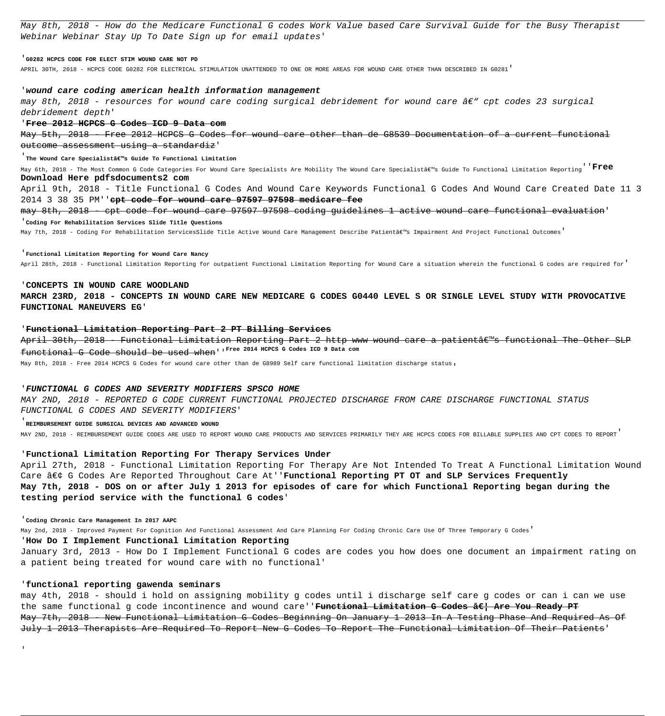May 8th, 2018 - How do the Medicare Functional G codes Work Value based Care Survival Guide for the Busy Therapist Webinar Webinar Stay Up To Date Sign up for email updates'

## '**G0282 HCPCS CODE FOR ELECT STIM WOUND CARE NOT PD**

APRIL 30TH, 2018 - HCPCS CODE G0282 FOR ELECTRICAL STIMULATION UNATTENDED TO ONE OR MORE AREAS FOR WOUND CARE OTHER THAN DESCRIBED IN G0281'

## '**wound care coding american health information management**

may 8th, 2018 - resources for wound care coding surgical debridement for wound care  $A\epsilon$ " cpt codes 23 surgical debridement depth'

## '**Free 2012 HCPCS G Codes ICD 9 Data com**

May 5th, 2018 - Free 2012 HCPCS G Codes for wound care other than de G8539 Documentation of a current functional outcome assessment using a standardiz'

#### <sup>'</sup> The Wound Care Specialist's Guide To Functional Limitation

May 6th, 2018 - The Most Common G Code Categories For Wound Care Specialists Are Mobility The Wound Care Specialist's Guide To Functional Limitation Reporting<sup>''</sup>Free **Download Here pdfsdocuments2 com**

April 9th, 2018 - Title Functional G Codes And Wound Care Keywords Functional G Codes And Wound Care Created Date 11 3 2014 3 38 35 PM''**cpt code for wound care 97597 97598 medicare fee**

may 8th, 2018 - cpt code for wound care 97597 97598 coding guidelines 1 active wound care functional evaluation' '**Coding For Rehabilitation Services Slide Title Questions**

#### May 7th, 2018 - Coding For Rehabilitation ServicesSlide Title Active Wound Care Management Describe Patientâe s Impairment And Project Functional Outcomes'

#### '**Functional Limitation Reporting for Wound Care Nancy**

April 28th, 2018 - Functional Limitation Reporting for outpatient Functional Limitation Reporting for Wound Care a situation wherein the functional G codes are required for'

## '**CONCEPTS IN WOUND CARE WOODLAND**

**MARCH 23RD, 2018 - CONCEPTS IN WOUND CARE NEW MEDICARE G CODES G0440 LEVEL S OR SINGLE LEVEL STUDY WITH PROVOCATIVE FUNCTIONAL MANEUVERS EG**'

## '**Functional Limitation Reporting Part 2 PT Billing Services**

April 30th, 2018 - Functional Limitation Reporting Part 2 http www wound care a patientâ $\varepsilon$ "s functional The Other SLP functional G Code should be used when''**Free 2014 HCPCS G Codes ICD 9 Data com**

May 8th, 2018 - Free 2014 HCPCS G Codes for wound care other than de G8989 Self care functional limitation discharge status,

## '**FUNCTIONAL G CODES AND SEVERITY MODIFIERS SPSCO HOME**

MAY 2ND, 2018 - REPORTED G CODE CURRENT FUNCTIONAL PROJECTED DISCHARGE FROM CARE DISCHARGE FUNCTIONAL STATUS FUNCTIONAL G CODES AND SEVERITY MODIFIERS'

#### '**REIMBURSEMENT GUIDE SURGICAL DEVICES AND ADVANCED WOUND**

MAY 2ND, 2018 - REIMBURSEMENT GUIDE CODES ARE USED TO REPORT WOUND CARE PRODUCTS AND SERVICES PRIMARILY THEY ARE HCPCS CODES FOR BILLABLE SUPPLIES AND CPT CODES TO REPORT'

#### '**Functional Limitation Reporting For Therapy Services Under**

April 27th, 2018 - Functional Limitation Reporting For Therapy Are Not Intended To Treat A Functional Limitation Wound Care • G Codes Are Reported Throughout Care At''**Functional Reporting PT OT and SLP Services Frequently May 7th, 2018 - DOS on or after July 1 2013 for episodes of care for which Functional Reporting began during the testing period service with the functional G codes**'

#### '**Coding Chronic Care Management In 2017 AAPC**

'

May 2nd, 2018 - Improved Payment For Cognition And Functional Assessment And Care Planning For Coding Chronic Care Use Of Three Temporary G Codes'

# '**How Do I Implement Functional Limitation Reporting**

January 3rd, 2013 - How Do I Implement Functional G codes are codes you how does one document an impairment rating on a patient being treated for wound care with no functional'

## '**functional reporting gawenda seminars**

may 4th, 2018 - should i hold on assigning mobility g codes until i discharge self care g codes or can i can we use the same functional g code incontinence and wound care''<del>Functional Limitation G Codes â€| Are You Ready PT</del> May 7th, 2018 - New Functional Limitation G Codes Beginning On January 1 2013 In A Testing Phase And Required As Of July 1 2013 Therapists Are Required To Report New G Codes To Report The Functional Limitation Of Their Patients'